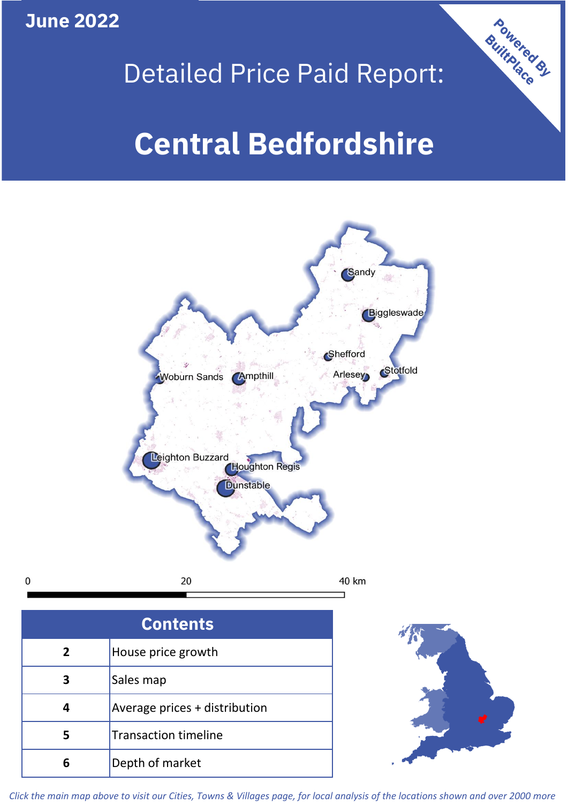**June 2022**

 $\mathbf 0$ 



## Detailed Price Paid Report:

# **Central Bedfordshire**



| <b>Contents</b> |                               |  |  |
|-----------------|-------------------------------|--|--|
| $\overline{2}$  | House price growth            |  |  |
| 3               | Sales map                     |  |  |
|                 | Average prices + distribution |  |  |
|                 | <b>Transaction timeline</b>   |  |  |
|                 | Depth of market               |  |  |



*Click the main map above to visit our Cities, Towns & Villages page, for local analysis of the locations shown and over 2000 more*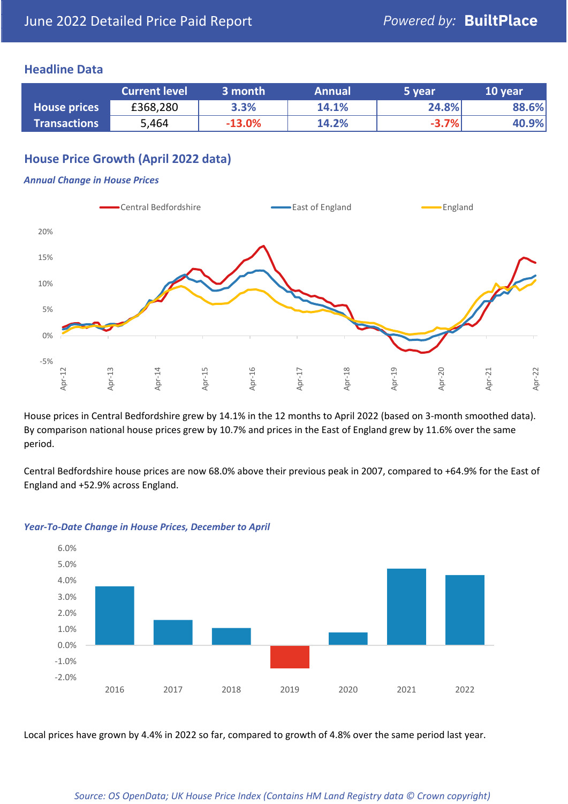## **Headline Data**

|                     | <b>Current level</b> | 3 month  | <b>Annual</b> | 5 year  | 10 year |
|---------------------|----------------------|----------|---------------|---------|---------|
| <b>House prices</b> | £368,280             | 3.3%     | 14.1%         | 24.8%   | 88.6%   |
| <b>Transactions</b> | 5,464                | $-13.0%$ | 14.2%         | $-3.7%$ | 40.9%   |

## **House Price Growth (April 2022 data)**

#### *Annual Change in House Prices*



House prices in Central Bedfordshire grew by 14.1% in the 12 months to April 2022 (based on 3-month smoothed data). By comparison national house prices grew by 10.7% and prices in the East of England grew by 11.6% over the same period.

Central Bedfordshire house prices are now 68.0% above their previous peak in 2007, compared to +64.9% for the East of England and +52.9% across England.



#### *Year-To-Date Change in House Prices, December to April*

Local prices have grown by 4.4% in 2022 so far, compared to growth of 4.8% over the same period last year.

#### *Source: OS OpenData; UK House Price Index (Contains HM Land Registry data © Crown copyright)*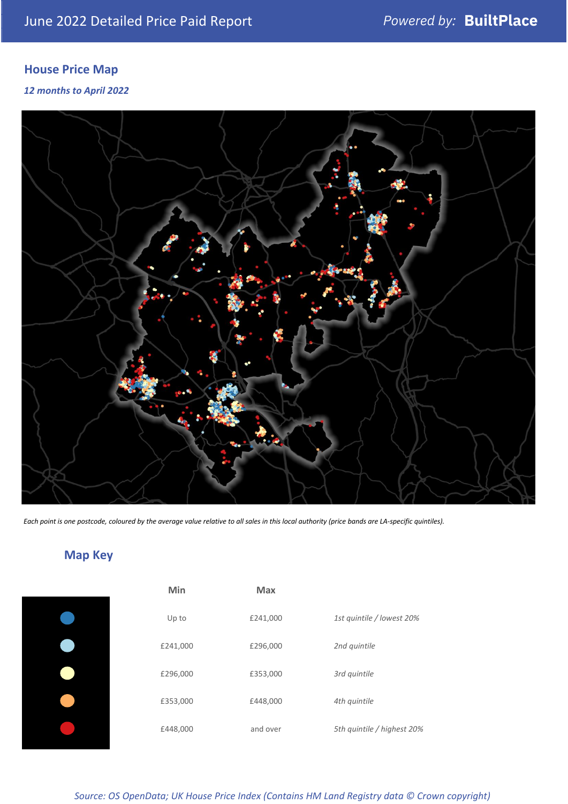## **House Price Map**

### *12 months to April 2022*



*Each point is one postcode, coloured by the average value relative to all sales in this local authority (price bands are LA-specific quintiles).*

## **Map Key**

| Min      | <b>Max</b> |              |
|----------|------------|--------------|
| Up to    | £241,000   | 1st quintile |
| £241,000 | £296,000   | 2nd quintile |
| £296,000 | £353,000   | 3rd quintile |
| £353,000 | £448,000   | 4th quintile |
| £448,000 | and over   | 5th quintile |
|          |            |              |

| Min      | <b>Max</b> |                            |
|----------|------------|----------------------------|
| Up to    | £241,000   | 1st quintile / lowest 20%  |
| £241,000 | £296,000   | 2nd quintile               |
| £296,000 | £353,000   | 3rd quintile               |
| £353,000 | £448,000   | 4th quintile               |
| £448,000 | and over   | 5th quintile / highest 20% |

*Source: OS OpenData; UK House Price Index (Contains HM Land Registry data © Crown copyright)*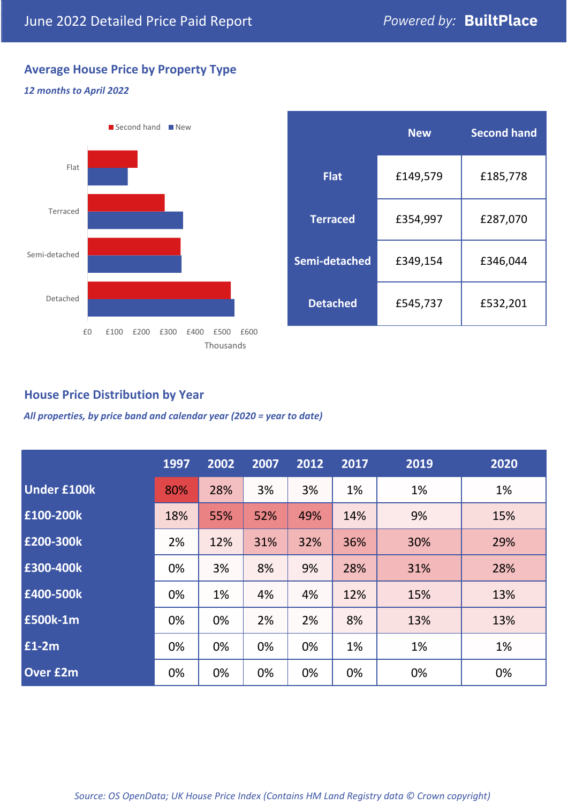## **Average House Price by Property Type**

#### *12 months to April 2022*



|                 | <b>New</b> | <b>Second hand</b> |  |  |
|-----------------|------------|--------------------|--|--|
| <b>Flat</b>     | £149,579   | £185,778           |  |  |
| <b>Terraced</b> | £354,997   | £287,070           |  |  |
| Semi-detached   | £349,154   | £346,044           |  |  |
| <b>Detached</b> | £545,737   | £532,201           |  |  |

## **House Price Distribution by Year**

*All properties, by price band and calendar year (2020 = year to date)*

|                    | 1997 | 2002 | 2007 | 2012 | 2017 | 2019 | 2020 |
|--------------------|------|------|------|------|------|------|------|
| <b>Under £100k</b> | 80%  | 28%  | 3%   | 3%   | 1%   | 1%   | 1%   |
| £100-200k          | 18%  | 55%  | 52%  | 49%  | 14%  | 9%   | 15%  |
| E200-300k          | 2%   | 12%  | 31%  | 32%  | 36%  | 30%  | 29%  |
| £300-400k          | 0%   | 3%   | 8%   | 9%   | 28%  | 31%  | 28%  |
| £400-500k          | 0%   | 1%   | 4%   | 4%   | 12%  | 15%  | 13%  |
| <b>£500k-1m</b>    | 0%   | 0%   | 2%   | 2%   | 8%   | 13%  | 13%  |
| £1-2m              | 0%   | 0%   | 0%   | 0%   | 1%   | 1%   | 1%   |
| <b>Over £2m</b>    | 0%   | 0%   | 0%   | 0%   | 0%   | 0%   | 0%   |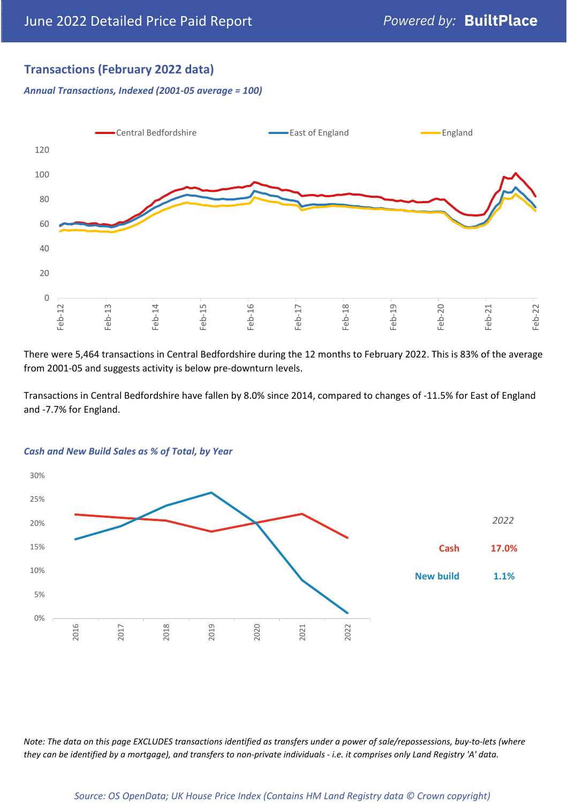## **Transactions (February 2022 data)**

*Annual Transactions, Indexed (2001-05 average = 100)*



There were 5,464 transactions in Central Bedfordshire during the 12 months to February 2022. This is 83% of the average from 2001-05 and suggests activity is below pre-downturn levels.

Transactions in Central Bedfordshire have fallen by 8.0% since 2014, compared to changes of -11.5% for East of England and -7.7% for England.



#### *Cash and New Build Sales as % of Total, by Year*

*Note: The data on this page EXCLUDES transactions identified as transfers under a power of sale/repossessions, buy-to-lets (where they can be identified by a mortgage), and transfers to non-private individuals - i.e. it comprises only Land Registry 'A' data.*